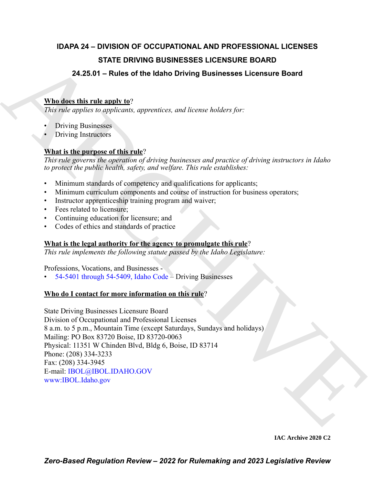### **IDAPA 24 – DIVISION OF OCCUPATIONAL AND PROFESSIONAL LICENSES STATE DRIVING BUSINESSES LICENSURE BOARD**

### **24.25.01 – Rules of the Idaho Driving Businesses Licensure Board**

#### **Who does this rule apply to**?

*This rule applies to applicants, apprentices, and license holders for:*

- Driving Businesses
- Driving Instructors

#### **What is the purpose of this rule**?

*This rule governs the operation of driving businesses and practice of driving instructors in Idaho to protect the public health, safety, and welfare. This rule establishes:*

- Minimum standards of competency and qualifications for applicants;
- Minimum curriculum components and course of instruction for business operators;
- Instructor apprenticeship training program and waiver;
- Fees related to licensure;
- Continuing education for licensure; and
- Codes of ethics and standards of practice

#### **What is the legal authority for the agency to promulgate this rule**?

*This rule implements the following statute passed by the Idaho Legislature:*

Professions, Vocations, and Businesses -

• 54-5401 through 54-5409, Idaho Code – Driving Businesses

#### **Who do I contact for more information on this rule**?

**STATE DRIVING BUSINESSES LICENSURE BOARD<br>
24.25.01 - Rules of the lidatio Driving Businesses Licensure Board<br>
What the the chiracter properties, and license holders for.<br>
This relation polytonic suppressions, approximate** State Driving Businesses Licensure Board Division of Occupational and Professional Licenses 8 a.m. to 5 p.m., Mountain Time (except Saturdays, Sundays and holidays) Mailing: PO Box 83720 Boise, ID 83720-0063 Physical: 11351 W Chinden Blvd, Bldg 6, Boise, ID 83714 Phone: (208) 334-3233 Fax: (208) 334-3945 E-mail: IBOL@IBOL.IDAHO.GOV www:IBOL.Idaho.gov

**IAC Archive 2020 C2**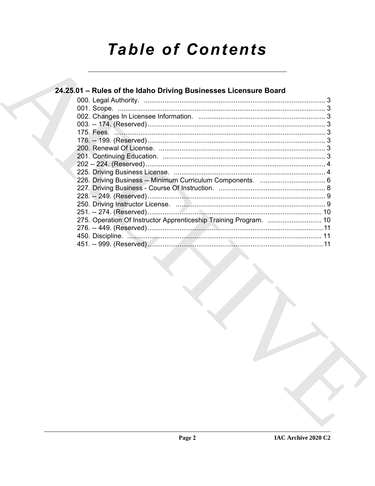# **Table of Contents**

#### 24.25.01 - Rules of the Idaho Driving Businesses Licensure Board 275. Operation Of Instructor Apprenticeship Training Program. .................................. 10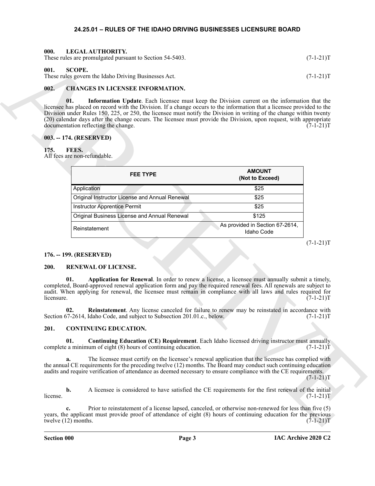#### <span id="page-2-14"></span>**24.25.01 – RULES OF THE IDAHO DRIVING BUSINESSES LICENSURE BOARD**

<span id="page-2-1"></span><span id="page-2-0"></span>

| 000. | LEGAL AUTHORITY.                                         |             |
|------|----------------------------------------------------------|-------------|
|      | These rules are promulgated pursuant to Section 54-5403. | $(7-1-21)T$ |

#### <span id="page-2-18"></span><span id="page-2-2"></span>**001. SCOPE.**

#### <span id="page-2-10"></span><span id="page-2-9"></span><span id="page-2-3"></span>**002. CHANGES IN LICENSEE INFORMATION.**

#### <span id="page-2-4"></span>**003. -- 174. (RESERVED)**

#### <span id="page-2-13"></span><span id="page-2-5"></span>**175. FEES.**

|            | These rules are promulgated pursuant to Section 54-5403.                                                                                                                                                                                                                                                                                                                                                                                                                                                           |                                               | $(7-1-21)T$ |
|------------|--------------------------------------------------------------------------------------------------------------------------------------------------------------------------------------------------------------------------------------------------------------------------------------------------------------------------------------------------------------------------------------------------------------------------------------------------------------------------------------------------------------------|-----------------------------------------------|-------------|
| 001.       | <b>SCOPE.</b><br>These rules govern the Idaho Driving Businesses Act.                                                                                                                                                                                                                                                                                                                                                                                                                                              |                                               | $(7-1-21)T$ |
|            |                                                                                                                                                                                                                                                                                                                                                                                                                                                                                                                    |                                               |             |
| 002.       | <b>CHANGES IN LICENSEE INFORMATION.</b>                                                                                                                                                                                                                                                                                                                                                                                                                                                                            |                                               |             |
|            | Information Update. Each licensee must keep the Division current on the information that the<br>01.<br>licensee has placed on record with the Division. If a change occurs to the information that a licensee provided to the<br>Division under Rules 150, 225, or 250, the licensee must notify the Division in writing of the change within twenty<br>(20) calendar days after the change occurs. The licensee must provide the Division, upon request, with appropriate<br>documentation reflecting the change. |                                               | $(7-1-21)T$ |
|            | 003. -- 174. (RESERVED)                                                                                                                                                                                                                                                                                                                                                                                                                                                                                            |                                               |             |
| 175.       | FEES.<br>All fees are non-refundable.                                                                                                                                                                                                                                                                                                                                                                                                                                                                              |                                               |             |
|            | <b>FEE TYPE</b>                                                                                                                                                                                                                                                                                                                                                                                                                                                                                                    | <b>AMOUNT</b><br>(Not to Exceed)              |             |
|            | Application                                                                                                                                                                                                                                                                                                                                                                                                                                                                                                        | \$25                                          |             |
|            | Original Instructor License and Annual Renewal                                                                                                                                                                                                                                                                                                                                                                                                                                                                     | \$25                                          |             |
|            | <b>Instructor Apprentice Permit</b>                                                                                                                                                                                                                                                                                                                                                                                                                                                                                | \$25                                          |             |
|            | Original Business License and Annual Renewal                                                                                                                                                                                                                                                                                                                                                                                                                                                                       | \$125                                         |             |
|            | Reinstatement                                                                                                                                                                                                                                                                                                                                                                                                                                                                                                      | As provided in Section 67-2614,<br>Idaho Code |             |
|            |                                                                                                                                                                                                                                                                                                                                                                                                                                                                                                                    |                                               | $(7-1-21)T$ |
|            | 176. -- 199. (RESERVED)                                                                                                                                                                                                                                                                                                                                                                                                                                                                                            |                                               |             |
| 200.       | RENEWAL OF LICENSE.                                                                                                                                                                                                                                                                                                                                                                                                                                                                                                |                                               |             |
| licensure. | 01.<br>Application for Renewal. In order to renew a license, a licensee must annually submit a timely,<br>completed, Board-approved renewal application form and pay the required renewal fees. All renewals are subject to<br>audit. When applying for renewal, the licensee must remain in compliance with all laws and rules required for                                                                                                                                                                       |                                               | $(7-1-21)T$ |
|            | Reinstatement. Any license canceled for failure to renew may be reinstated in accordance with<br>02.<br>Section 67-2614, Idaho Code, and subject to Subsection 201.01.c., below.                                                                                                                                                                                                                                                                                                                                   |                                               | $(7-1-21)T$ |
| 201.       | <b>CONTINUING EDUCATION.</b>                                                                                                                                                                                                                                                                                                                                                                                                                                                                                       |                                               |             |
|            | <b>Continuing Education (CE) Requirement.</b> Each Idaho licensed driving instructor must annually<br>01.<br>complete a minimum of eight (8) hours of continuing education.                                                                                                                                                                                                                                                                                                                                        |                                               | $(7-1-21)T$ |
|            |                                                                                                                                                                                                                                                                                                                                                                                                                                                                                                                    |                                               |             |
|            | The licensee must certify on the licensee's renewal application that the licensee has complied with<br>a.<br>the annual CE requirements for the preceding twelve (12) months. The Board may conduct such continuing education<br>audits and require verification of attendance as deemed necessary to ensure compliance with the CE requirements.                                                                                                                                                                  |                                               | $(7-1-21)T$ |
| license.   | b.<br>A licensee is considered to have satisfied the CE requirements for the first renewal of the initial                                                                                                                                                                                                                                                                                                                                                                                                          |                                               | $(7-1-21)T$ |

#### <span id="page-2-6"></span>**176. -- 199. (RESERVED)**

#### <span id="page-2-16"></span><span id="page-2-15"></span><span id="page-2-7"></span>**200. RENEWAL OF LICENSE.**

#### <span id="page-2-17"></span><span id="page-2-12"></span><span id="page-2-11"></span><span id="page-2-8"></span>**201. CONTINUING EDUCATION.**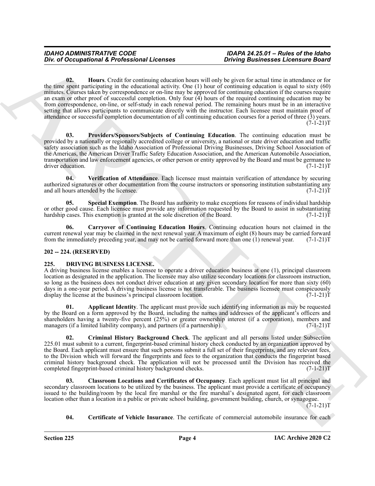One of Occupational K. Professional Licenses<br>  $\frac{60}{2}$  Linear Constitutional C. The constitution of the constitution of the constitution of the constitution of the constitution of the constitution of the constitution of **02. Hours**. Credit for continuing education hours will only be given for actual time in attendance or for the time spent participating in the educational activity. One (1) hour of continuing education is equal to sixty (60) minutes. Courses taken by correspondence or on-line may be approved for continuing education if the courses require an exam or other proof of successful completion. Only four (4) hours of the required continuing education may be from correspondence, on-line, or self-study in each renewal period. The remaining hours must be in an interactive setting that allows participants to communicate directly with the instructor. Each licensee must maintain proof of attendance or successful completion documentation of all continuing education courses for a period of three (3) years.  $(7-1-21)T$ 

<span id="page-3-4"></span><span id="page-3-3"></span>**03. Providers/Sponsors/Subjects of Continuing Education**. The continuing education must be provided by a nationally or regionally accredited college or university, a national or state driver education and traffic safety association such as the Idaho Association of Professional Driving Businesses, Driving School Association of the Americas, the American Driver Traffic Safety Education Association, and the American Automobile Association, transportation and law enforcement agencies, or other person or entity approved by the Board and must be germane to driver education. (7-1-21)T

<span id="page-3-6"></span>**04. Verification of Attendance**. Each licensee must maintain verification of attendance by securing authorized signatures or other documentation from the course instructors or sponsoring institution substantiating any and all hours attended by the licensee.  $(7-1-21)T$ 

<span id="page-3-5"></span>**05. Special Exemption**. The Board has authority to make exceptions for reasons of individual hardship or other good cause. Each licensee must provide any information requested by the Board to assist in substantiating hardship cases. This exemption is granted at the sole discretion of the Board.  $(7-1-21)$ T

<span id="page-3-2"></span>**06. Carryover of Continuing Education Hours**. Continuing education hours not claimed in the current renewal year may be claimed in the next renewal year. A maximum of eight (8) hours may be carried forward from the immediately preceding year, and may not be carried forward more than one (1) renewal year. (7-1-21)T

#### <span id="page-3-0"></span>**202 -- 224. (RESERVED)**

#### <span id="page-3-7"></span><span id="page-3-1"></span>**225. DRIVING BUSINESS LICENSE.**

A driving business license enables a licensee to operate a driver education business at one (1), principal classroom location as designated in the application. The licensee may also utilize secondary locations for classroom instruction, so long as the business does not conduct driver education at any given secondary location for more than sixty (60) days in a one-year period. A driving business license is not transferable. The business licensee must conspicuously display the license at the business's principal classroom location.  $(7-1-21)$ T

<span id="page-3-8"></span>**01. Applicant Identity**. The applicant must provide such identifying information as may be requested by the Board on a form approved by the Board, including the names and addresses of the applicant's officers and shareholders having a twenty-five percent (25%) or greater ownership interest (if a corporation), members and managers (if a limited liability company), and partners (if a partnership). (7-1-21)T

<span id="page-3-11"></span>**02. Criminal History Background Check**. The applicant and all persons listed under Subsection 225.01 must submit to a current, fingerprint-based criminal history check conducted by an organization approved by the Board. Each applicant must ensure that such persons submit a full set of their fingerprints, and any relevant fees, to the Division which will forward the fingerprints and fees to the organization that conducts the fingerprint based criminal history background check. The application will not be processed until the Division has received the completed fingerprint-based criminal history background checks. (7-1-21)T

<span id="page-3-10"></span>**03. Classroom Locations and Certificates of Occupancy**. Each applicant must list all principal and secondary classroom locations to be utilized by the business. The applicant must provide a certificate of occupancy issued to the building/room by the local fire marshal or the fire marshal's designated agent, for each classroom location other than a location in a public or private school building, government building, church, or synagogue.  $(7-1-21)T$ 

<span id="page-3-9"></span>**04. Certificate of Vehicle Insurance**. The certificate of commercial automobile insurance for each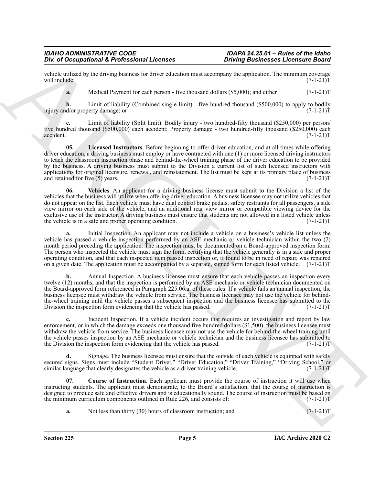vehicle utilized by the driving business for driver education must accompany the application. The minimum coverage will include:  $(7-1-21)T$ will include:  $(7-1-21)T$ 

**a.** Medical Payment for each person - five thousand dollars (\$5,000); and either (7-1-21)T

**b.** Limit of liability (Combined single limit) - five hundred thousand (\$500,000) to apply to bodily d/or property damage; or  $(7-1-21)T$ injury and/or property damage; or

**c.** Limit of liability (Split limit). Bodily injury - two hundred-fifty thousand (\$250,000) per person/ five hundred thousand (\$500,000) each accident; Property damage - two hundred-fifty thousand (\$250,000) each accident. (7-1-21)T accident. (7-1-21)T

<span id="page-4-2"></span><span id="page-4-1"></span>**05. Licensed Instructors**. Before beginning to offer driver education, and at all times while offering driver education, a driving business must employ or have contracted with one (1) or more licensed driving instructors to teach the classroom instruction phase and behind-the-wheel training phase of the driver education to be provided by the business. A driving business must submit to the Division a current list of such licensed instructors with applications for original licensure, renewal, and reinstatement. The list must be kept at its primary place of business and retained for five  $(5)$  years.  $(7-1-21)T$ and retained for five  $(5)$  years.

One of Occupational K. Professional Licenses<br>
Consideration Considers and December 2008 and the consideration of the consideration of the consideration of the consideration of the consideration of the consideration of the **06. Vehicles**. An applicant for a driving business license must submit to the Division a list of the vehicles that the business will utilize when offering driver education. A business licensee may not utilize vehicles that do not appear on the list. Each vehicle must have dual control brake pedals, safety restraints for all passengers, a side view mirror on each side of the vehicle, and an additional rear view mirror or compatible viewing device for the exclusive use of the instructor. A driving business must ensure that students are not allowed in a listed vehicle unless<br>the vehicle is in a safe and proper operating condition. (7-1-21) the vehicle is in a safe and proper operating condition.

**a.** Initial Inspection. An applicant may not include a vehicle on a business's vehicle list unless the vehicle has passed a vehicle inspection performed by an ASE mechanic or vehicle technician within the two (2) month period preceding the application. The inspection must be documented on a Board-approved inspection form. The person who inspected the vehicle must sign the form, certifying that the vehicle generally is in a safe and proper operating condition, and that each inspected item passed inspection or, if found to be in need of repair, was repaired on a given date. The application must be accompanied by a separate, signed form for each listed vehicle.  $(7-i-21)T$ 

**b.** Annual Inspection. A business licensee must ensure that each vehicle passes an inspection every twelve (12) months, and that the inspection is performed by an ASE mechanic or vehicle technician documented on the Board-approved form referenced in Paragraph 225.06.a. of these rules. If a vehicle fails an annual inspection, the business licensee must withdraw the vehicle from service. The business licensee may not use the vehicle for behindthe-wheel training until the vehicle passes a subsequent inspection and the business licensee has submitted to the Division the inspection form evidencing that the vehicle has passed. (7-1-21)T

**c.** Incident Inspection. If a vehicle incident occurs that requires an investigation and report by law enforcement, or in which the damage exceeds one thousand five hundred dollars (\$1,500), the business licensee must withdraw the vehicle from service. The business licensee may not use the vehicle for behind-the-wheel training until the vehicle passes inspection by an ASE mechanic or vehicle technician and the business licensee has submitted to the Division the inspection form evidencing that the vehicle has passed. (7-1-21)T

**d.** Signage. The business licensee must ensure that the outside of each vehicle is equipped with safely secured signs. Signs must include "Student Driver," "Driver Education," "Driver Training," "Driving School," or similar language that clearly designates the vehicle as a driver training vehicle. (7-1-21)T

**07. Course of Instruction**. Each applicant must provide the course of instruction it will use when instructing students. The applicant must demonstrate, to the Board's satisfaction, that the course of instruction is designed to produce safe and effective drivers and is educationally sound. The course of instruction must be based on the minimum curriculum components outlined in Rule 226, and consists of:  $(7-1-21)$ T

<span id="page-4-0"></span>**a.** Not less than thirty (30) hours of classroom instruction; and  $(7-1-21)$ T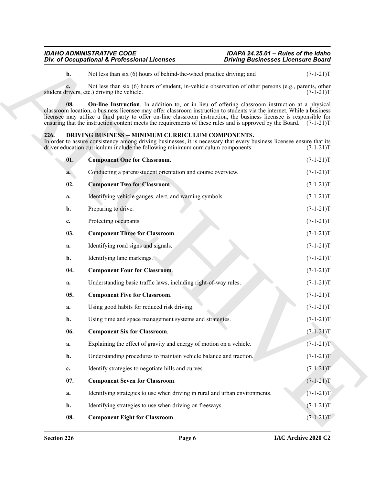#### <span id="page-5-10"></span><span id="page-5-9"></span><span id="page-5-8"></span><span id="page-5-7"></span><span id="page-5-6"></span><span id="page-5-5"></span><span id="page-5-4"></span><span id="page-5-3"></span><span id="page-5-2"></span><span id="page-5-1"></span><span id="page-5-0"></span>**226. DRIVING BUSINESS -- MINIMUM CURRICULUM COMPONENTS.**

|       | Div. of Occupational & Professional Licenses                                                                                                                                                                                                                                                                                                                                                                                                                                    | <b>Driving Businesses Licensure Board</b> |             |
|-------|---------------------------------------------------------------------------------------------------------------------------------------------------------------------------------------------------------------------------------------------------------------------------------------------------------------------------------------------------------------------------------------------------------------------------------------------------------------------------------|-------------------------------------------|-------------|
| $b$ . | Not less than six (6) hours of behind-the-wheel practice driving; and                                                                                                                                                                                                                                                                                                                                                                                                           |                                           | $(7-1-21)T$ |
| c.    | Not less than six (6) hours of student, in-vehicle observation of other persons (e.g., parents, other<br>student drivers, etc.) driving the vehicle.                                                                                                                                                                                                                                                                                                                            |                                           | $(7-1-21)T$ |
| 08.   | <b>On-line Instruction</b> . In addition to, or in lieu of offering classroom instruction at a physical<br>classroom location, a business licensee may offer classroom instruction to students via the internet. While a business<br>licensee may utilize a third party to offer on-line classroom instruction, the business licensee is responsible for<br>ensuring that the instruction content meets the requirements of these rules and is approved by the Board. (7-1-21)T |                                           |             |
| 226.  | DRIVING BUSINESS -- MINIMUM CURRICULUM COMPONENTS.<br>In order to assure consistency among driving businesses, it is necessary that every business licensee ensure that its<br>driver education curriculum include the following minimum curriculum components:                                                                                                                                                                                                                 |                                           | $(7-1-21)T$ |
| 01.   | <b>Component One for Classroom.</b>                                                                                                                                                                                                                                                                                                                                                                                                                                             |                                           | $(7-1-21)T$ |
| а.    | Conducting a parent/student orientation and course overview.                                                                                                                                                                                                                                                                                                                                                                                                                    |                                           | $(7-1-21)T$ |
| 02.   | <b>Component Two for Classroom.</b>                                                                                                                                                                                                                                                                                                                                                                                                                                             |                                           | $(7-1-21)T$ |
| a.    | Identifying vehicle gauges, alert, and warning symbols.                                                                                                                                                                                                                                                                                                                                                                                                                         |                                           | $(7-1-21)T$ |
| b.    | Preparing to drive.                                                                                                                                                                                                                                                                                                                                                                                                                                                             |                                           | $(7-1-21)T$ |
| c.    | Protecting occupants.                                                                                                                                                                                                                                                                                                                                                                                                                                                           |                                           | $(7-1-21)T$ |
| 03.   | <b>Component Three for Classroom.</b>                                                                                                                                                                                                                                                                                                                                                                                                                                           |                                           | $(7-1-21)T$ |
| a.    | Identifying road signs and signals.                                                                                                                                                                                                                                                                                                                                                                                                                                             |                                           | $(7-1-21)T$ |
| b.    | Identifying lane markings.                                                                                                                                                                                                                                                                                                                                                                                                                                                      |                                           | $(7-1-21)T$ |
| 04.   | <b>Component Four for Classroom.</b>                                                                                                                                                                                                                                                                                                                                                                                                                                            |                                           | $(7-1-21)T$ |
| a.    | Understanding basic traffic laws, including right-of-way rules.                                                                                                                                                                                                                                                                                                                                                                                                                 |                                           | $(7-1-21)T$ |
| 05.   | <b>Component Five for Classroom.</b>                                                                                                                                                                                                                                                                                                                                                                                                                                            |                                           | $(7-1-21)T$ |
| a.    | Using good habits for reduced risk driving.                                                                                                                                                                                                                                                                                                                                                                                                                                     |                                           | $(7-1-21)T$ |
| b.    | Using time and space management systems and strategies.                                                                                                                                                                                                                                                                                                                                                                                                                         |                                           | $(7-1-21)T$ |
| 06.   | <b>Component Six for Classroom.</b>                                                                                                                                                                                                                                                                                                                                                                                                                                             |                                           | $(7-1-21)T$ |
| a.    | Explaining the effect of gravity and energy of motion on a vehicle.                                                                                                                                                                                                                                                                                                                                                                                                             |                                           | $(7-1-21)T$ |
| b.    | Understanding procedures to maintain vehicle balance and traction.                                                                                                                                                                                                                                                                                                                                                                                                              |                                           | $(7-1-21)T$ |
| c.    | Identify strategies to negotiate hills and curves.                                                                                                                                                                                                                                                                                                                                                                                                                              |                                           | $(7-1-21)T$ |
| 07.   | <b>Component Seven for Classroom.</b>                                                                                                                                                                                                                                                                                                                                                                                                                                           |                                           | $(7-1-21)T$ |
| a.    | Identifying strategies to use when driving in rural and urban environments.                                                                                                                                                                                                                                                                                                                                                                                                     |                                           | $(7-1-21)T$ |
| b.    | Identifying strategies to use when driving on freeways.                                                                                                                                                                                                                                                                                                                                                                                                                         |                                           | $(7-1-21)T$ |
|       |                                                                                                                                                                                                                                                                                                                                                                                                                                                                                 |                                           |             |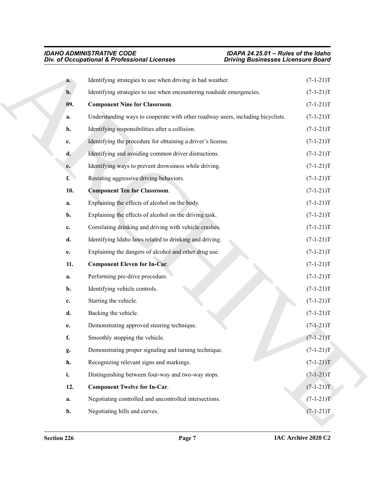<span id="page-6-3"></span><span id="page-6-2"></span><span id="page-6-1"></span><span id="page-6-0"></span>

|     | Div. of Occupational & Professional Licenses                                    | <b>Driving Businesses Licensure Board</b> |
|-----|---------------------------------------------------------------------------------|-------------------------------------------|
| a.  | Identifying strategies to use when driving in bad weather.                      | $(7-1-21)T$                               |
| b.  | Identifying strategies to use when encountering roadside emergencies.           | $(7-1-21)T$                               |
| 09. | <b>Component Nine for Classroom.</b>                                            | $(7-1-21)T$                               |
| a.  | Understanding ways to cooperate with other roadway users, including bicyclists. | $(7-1-21)T$                               |
| b.  | Identifying responsibilities after a collision.                                 | $(7-1-21)T$                               |
| c.  | Identifying the procedure for obtaining a driver's license.                     | $(7-1-21)T$                               |
| d.  | Identifying and avoiding common driver distractions.                            | $(7-1-21)T$                               |
| e.  | Identifying ways to prevent drowsiness while driving.                           | $(7-1-21)T$                               |
| f.  | Resisting aggressive driving behaviors.                                         | $(7-1-21)T$                               |
| 10. | <b>Component Ten for Classroom.</b>                                             | $(7-1-21)T$                               |
| a.  | Explaining the effects of alcohol on the body.                                  | $(7-1-21)T$                               |
| b.  | Explaining the effects of alcohol on the driving task.                          | $(7-1-21)T$                               |
| c.  | Correlating drinking and driving with vehicle crashes.                          | $(7-1-21)T$                               |
| d.  | Identifying Idaho laws related to drinking and driving.                         | $(7-1-21)T$                               |
| e.  | Explaining the dangers of alcohol and other drug use.                           | $(7-1-21)T$                               |
| 11. | <b>Component Eleven for In-Car.</b>                                             | $(7-1-21)T$                               |
| a.  | Performing pre-drive procedure.                                                 | $(7-1-21)T$                               |
| b.  | Identifying vehicle controls.                                                   | $(7-1-21)T$                               |
| c.  | Starting the vehicle.                                                           | $(7-1-21)T$                               |
| d.  | Backing the vehicle.                                                            | $(7-1-21)T$                               |
| e.  | Demonstrating approved steering technique.                                      | $(7-1-21)T$                               |
| f.  | Smoothly stopping the vehicle.                                                  | $(7-1-21)T$                               |
| g.  | Demonstrating proper signaling and turning technique.                           | $(7-1-21)T$                               |
| h.  | Recognizing relevant signs and markings.                                        | $(7-1-21)T$                               |
| i.  | Distinguishing between four-way and two-way stops.                              | $(7-1-21)T$                               |
| 12. | <b>Component Twelve for In-Car.</b>                                             | $(7-1-21)T$                               |
| a.  | Negotiating controlled and uncontrolled intersections.                          | $(7-1-21)T$                               |
| b.  | Negotiating hills and curves.                                                   | $(7-1-21)T$                               |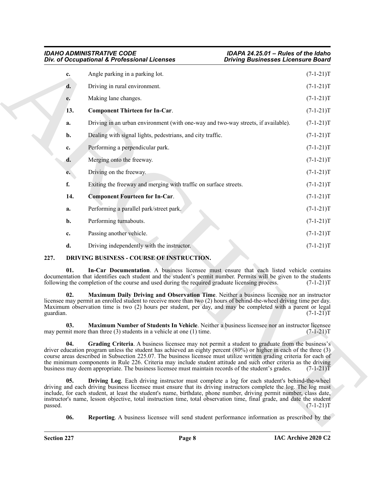<span id="page-7-9"></span>

| <b>IDAHO ADMINISTRATIVE CODE</b>             |  |
|----------------------------------------------|--|
| Div. of Occupational & Professional Licenses |  |

|                  | Div. of Occupational & Professional Licenses                                                                                                                                                                                                                                                                                                                                                                                                                                                                                                                                 | <b>Driving Businesses Licensure Board</b> |             |
|------------------|------------------------------------------------------------------------------------------------------------------------------------------------------------------------------------------------------------------------------------------------------------------------------------------------------------------------------------------------------------------------------------------------------------------------------------------------------------------------------------------------------------------------------------------------------------------------------|-------------------------------------------|-------------|
| c.               | Angle parking in a parking lot.                                                                                                                                                                                                                                                                                                                                                                                                                                                                                                                                              |                                           | $(7-1-21)T$ |
| d.               | Driving in rural environment.                                                                                                                                                                                                                                                                                                                                                                                                                                                                                                                                                |                                           | $(7-1-21)T$ |
| е.               | Making lane changes.                                                                                                                                                                                                                                                                                                                                                                                                                                                                                                                                                         |                                           | $(7-1-21)T$ |
| 13.              | <b>Component Thirteen for In-Car.</b>                                                                                                                                                                                                                                                                                                                                                                                                                                                                                                                                        |                                           | $(7-1-21)T$ |
| a.               | Driving in an urban environment (with one-way and two-way streets, if available).                                                                                                                                                                                                                                                                                                                                                                                                                                                                                            |                                           | $(7-1-21)T$ |
| b.               | Dealing with signal lights, pedestrians, and city traffic.                                                                                                                                                                                                                                                                                                                                                                                                                                                                                                                   |                                           | $(7-1-21)T$ |
| c.               | Performing a perpendicular park.                                                                                                                                                                                                                                                                                                                                                                                                                                                                                                                                             |                                           | $(7-1-21)T$ |
| d.               | Merging onto the freeway.                                                                                                                                                                                                                                                                                                                                                                                                                                                                                                                                                    |                                           | $(7-1-21)T$ |
| e.               | Driving on the freeway.                                                                                                                                                                                                                                                                                                                                                                                                                                                                                                                                                      |                                           | $(7-1-21)T$ |
| f.               | Exiting the freeway and merging with traffic on surface streets.                                                                                                                                                                                                                                                                                                                                                                                                                                                                                                             |                                           | $(7-1-21)T$ |
| 14.              | <b>Component Fourteen for In-Car.</b>                                                                                                                                                                                                                                                                                                                                                                                                                                                                                                                                        |                                           | $(7-1-21)T$ |
| a.               | Performing a parallel park/street park.                                                                                                                                                                                                                                                                                                                                                                                                                                                                                                                                      |                                           | $(7-1-21)T$ |
| b.               | Performing turnabouts.                                                                                                                                                                                                                                                                                                                                                                                                                                                                                                                                                       |                                           | $(7-1-21)T$ |
| c.               | Passing another vehicle.                                                                                                                                                                                                                                                                                                                                                                                                                                                                                                                                                     |                                           | $(7-1-21)T$ |
| d.               | Driving independently with the instructor.                                                                                                                                                                                                                                                                                                                                                                                                                                                                                                                                   |                                           | $(7-1-21)T$ |
| 227.             | DRIVING BUSINESS - COURSE OF INSTRUCTION.                                                                                                                                                                                                                                                                                                                                                                                                                                                                                                                                    |                                           |             |
| 01.              | In-Car Documentation. A business licensee must ensure that each listed vehicle contains<br>documentation that identifies each student and the student's permit number. Permits will be given to the students<br>following the completion of the course and used during the required graduate licensing process.                                                                                                                                                                                                                                                              |                                           | $(7-1-21)T$ |
| 02.<br>guardian. | Maximum Daily Driving and Observation Time. Neither a business licensee nor an instructor<br>licensee may permit an enrolled student to receive more than two (2) hours of behind-the-wheel driving time per day.<br>Maximum observation time is two (2) hours per student, per day, and may be completed with a parent or legal                                                                                                                                                                                                                                             |                                           | $(7-1-21)T$ |
| 03.              | Maximum Number of Students In Vehicle. Neither a business licensee nor an instructor licensee<br>may permit more than three (3) students in a vehicle at one (1) time.                                                                                                                                                                                                                                                                                                                                                                                                       |                                           | $(7-1-21)T$ |
| 04.              | Grading Criteria. A business licensee may not permit a student to graduate from the business's<br>driver education program unless the student has achieved an eighty percent $(80%)$ or higher in each of the three $(3)$<br>course areas described in Subsection 225.07. The business licensee must utilize written grading criteria for each of<br>the minimum components in Rule 226. Criteria may include student attitude and such other criteria as the driving<br>business may deem appropriate. The business licensee must maintain records of the student's grades. |                                           | $(7-1-21)T$ |
| 05.<br>passed.   | Driving Log. Each driving instructor must complete a log for each student's behind-the-wheel<br>driving and each driving business licensee must ensure that its driving instructors complete the log. The log must<br>include, for each student, at least the student's name, birthdate, phone number, driving permit number, class date,<br>instructor's name, lesson objective, total instruction time, total observation time, final grade, and date the student                                                                                                          |                                           | $(7-1-21)T$ |
| 06.              | <b>Reporting.</b> A business licensee will send student performance information as prescribed by the                                                                                                                                                                                                                                                                                                                                                                                                                                                                         |                                           |             |

#### <span id="page-7-8"></span><span id="page-7-7"></span><span id="page-7-6"></span><span id="page-7-5"></span><span id="page-7-4"></span><span id="page-7-3"></span><span id="page-7-2"></span><span id="page-7-1"></span><span id="page-7-0"></span>**227. DRIVING BUSINESS - COURSE OF INSTRUCTION.**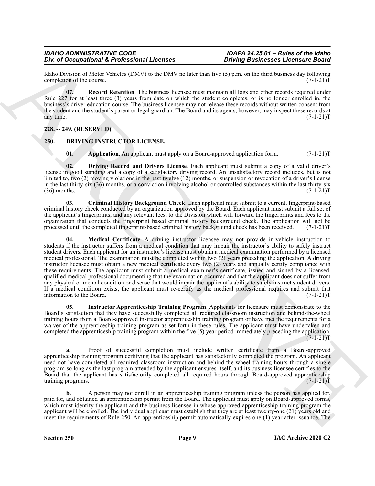Idaho Division of Motor Vehicles (DMV) to the DMV no later than five (5) p.m. on the third business day following completion of the course. completion of the course.

<span id="page-8-2"></span>**07. Record Retention**. The business licensee must maintain all logs and other records required under Rule 227 for at least three (3) years from date on which the student completes, or is no longer enrolled in, the business's driver education course. The business licensee may not release these records without written consent from the student and the student's parent or legal guardian. The Board and its agents, however, may inspect these records at any time.  $(7-1-21)T$ 

#### <span id="page-8-0"></span>**228. -- 249. (RESERVED)**

#### <span id="page-8-1"></span>**250. DRIVING INSTRUCTOR LICENSE.**

<span id="page-8-6"></span><span id="page-8-4"></span><span id="page-8-3"></span>**01.** Application. An applicant must apply on a Board-approved application form.  $(7-1-21)$ T

**02. Driving Record and Drivers License**. Each applicant must submit a copy of a valid driver's license in good standing and a copy of a satisfactory driving record. An unsatisfactory record includes, but is not limited to, two (2) moving violations in the past twelve (12) months, or suspension or revocation of a driver's license in the last thirty-six (36) months, or a conviction involving alcohol or controlled substances within the last thirty-six  $(36)$  months.  $(7-1-21)T$ 

<span id="page-8-8"></span><span id="page-8-5"></span>**03. Criminal History Background Check**. Each applicant must submit to a current, fingerprint-based criminal history check conducted by an organization approved by the Board. Each applicant must submit a full set of the applicant's fingerprints, and any relevant fees, to the Division which will forward the fingerprints and fees to the organization that conducts the fingerprint based criminal history background check. The application will not be processed until the completed fingerprint-based criminal history background check has been received. (7-1-21) processed until the completed fingerprint-based criminal history background check has been received.

The of Decembent of References in the United States of the United States in the United States of the United States of the United States of the United States of the United States of the United States of the United States o **04. Medical Certificate**. A driving instructor licensee may not provide in-vehicle instruction to students if the instructor suffers from a medical condition that may impair the instructor's ability to safely instruct student drivers. Each applicant for an instructor's license must obtain a medical examination performed by a licensed medical professional. The examination must be completed within two (2) years preceding the application. A driving instructor licensee must obtain a new medical certificate every two (2) years and annually certify compliance with these requirements. The applicant must submit a medical examiner's certificate, issued and signed by a licensed, qualified medical professional documenting that the examination occurred and that the applicant does not suffer from any physical or mental condition or disease that would impair the applicant's ability to safely instruct student drivers. If a medical condition exists, the applicant must re-certify as the medical professional requires and submit that information to the Board. (7-1-21)T

<span id="page-8-7"></span>**05. Instructor Apprenticeship Training Program**. Applicants for licensure must demonstrate to the Board's satisfaction that they have successfully completed all required classroom instruction and behind-the-wheel training hours from a Board-approved instructor apprenticeship training program or have met the requirements for a waiver of the apprenticeship training program as set forth in these rules. The applicant must have undertaken and completed the apprenticeship training program within the five (5) year period immediately preceding the application.  $(7-1-21)T$ 

**a.** Proof of successful completion must include written certificate from a Board-approved apprenticeship training program certifying that the applicant has satisfactorily completed the program. An applicant need not have completed all required classroom instruction and behind-the-wheel training hours through a single program so long as the last program attended by the applicant ensures itself, and its business licensee certifies to the Board that the applicant has satisfactorily completed all required hours through Board-approved apprenticeship training programs. (7-1-21)T training programs.

**b.** A person may not enroll in an apprenticeship training program unless the person has applied for, paid for, and obtained an apprenticeship permit from the Board. The applicant must apply on Board-approved forms, which must identify the applicant and the business licensee in whose approved apprenticeship training program the applicant will be enrolled. The individual applicant must establish that they are at least twenty-one (21) years old and meet the requirements of Rule 250. An apprenticeship permit automatically expires one (1) year after issuance. The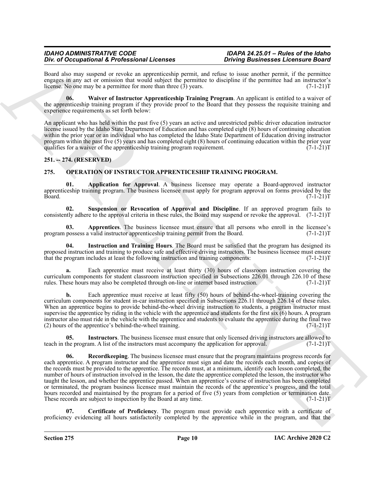Board also may suspend or revoke an apprenticeship permit, and refuse to issue another permit, if the permittee engages in any act or omission that would subject the permittee to discipline if the permittee had an instructor's license. No one may be a permittee for more than three (3) years. (7-1-21)T

<span id="page-9-2"></span>**06. Waiver of Instructor Apprenticeship Training Program**. An applicant is entitled to a waiver of the apprenticeship training program if they provide proof to the Board that they possess the requisite training and experience requirements as set forth below:

An applicant who has held within the past five (5) years an active and unrestricted public driver education instructor license issued by the Idaho State Department of Education and has completed eight (8) hours of continuing education within the prior year or an individual who has completed the Idaho State Department of Education driving instructor program within the past five (5) years and has completed eight (8) hours of continuing education within the prior year qualifies for a waiver of the apprenticeship training program requirement.  $(7-1-21)T$ qualifies for a waiver of the apprenticeship training program requirement.

#### <span id="page-9-0"></span>**251. -- 274. (RESERVED)**

#### <span id="page-9-3"></span><span id="page-9-1"></span>**275. OPERATION OF INSTRUCTOR APPRENTICESHIP TRAINING PROGRAM.**

<span id="page-9-4"></span>**01. Application for Approval**. A business licensee may operate a Board-approved instructor apprenticeship training program. The business licensee must apply for program approval on forms provided by the<br>Board. (7-1-21)T Board. (7-1-21)T

<span id="page-9-10"></span>**02. Suspension or Revocation of Approval and Discipline**. If an approved program fails to consistently adhere to the approval criteria in these rules, the Board may suspend or revoke the approval. (7-1-21)T

<span id="page-9-5"></span>**03.** Apprentices. The business licensee must ensure that all persons who enroll in the licensee's possess a valid instructor apprentices hip training permit from the Board. (7-1-21) program possess a valid instructor apprenticeship training permit from the Board.

<span id="page-9-7"></span>**04. Instruction and Training Hours**. The Board must be satisfied that the program has designed its proposed instruction and training to produce safe and effective driving instructors. The business licensee must ensure that the program includes at least the following instruction and training components:  $(7-1-21)$ that the program includes at least the following instruction and training components:

Each apprentice must receive at least thirty (30) hours of classroom instruction covering the curriculum components for student classroom instruction specified in Subsections 226.01 through 226.10 of these rules. These hours may also be completed through on-line or internet based instruction. (7-1-21)T rules. These hours may also be completed through on-line or internet based instruction.

**b.** Each apprentice must receive at least fifty (50) hours of behind-the-wheel-training covering the curriculum components for student in-car instruction specified in Subsections 226.11 through 226.14 of these rules. When an apprentice begins to provide behind-the-wheel driving instruction to students, a program instructor must supervise the apprentice by riding in the vehicle with the apprentice and students for the first six (6) hours. A program instructor also must ride in the vehicle with the apprentice and students to evaluate the apprentice during the final two (2) hours of the apprentice's behind-the-wheel training. (7-1-21)T

<span id="page-9-9"></span><span id="page-9-8"></span>**05.** Instructors. The business licensee must ensure that only licensed driving instructors are allowed to the program. A list of the instructors must accompany the application for approval. (7-1-21) teach in the program. A list of the instructors must accompany the application for approval.

Doe of Decemberion de Reference and tractique and the state and the state and the state and the state and the state and the state and the state and the state and the state and the state and the state and the state and the **Record keeping**. The business licensee must ensure that the program maintains progress records for each apprentice. A program instructor and the apprentice must sign and date the records each month, and copies of the records must be provided to the apprentice. The records must, at a minimum, identify each lesson completed, the number of hours of instruction involved in the lesson, the date the apprentice completed the lesson, the instructor who taught the lesson, and whether the apprentice passed. When an apprentice's course of instruction has been completed or terminated, the program business licensee must maintain the records of the apprentice's progress, and the total hours recorded and maintained by the program for a period of five  $(5)$  years from completion or termination date. These records are subject to inspection by the Board at any time. (7-1-21)T

<span id="page-9-6"></span>**07. Certificate of Proficiency**. The program must provide each apprentice with a certificate of proficiency evidencing all hours satisfactorily completed by the apprentice while in the program, and that the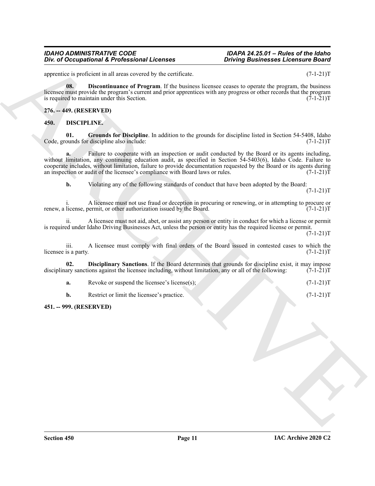apprentice is proficient in all areas covered by the certificate. (7-1-21)T

<span id="page-10-6"></span>**08. Discontinuance of Program**. If the business licensee ceases to operate the program, the business licensee must provide the program's current and prior apprentices with any progress or other records that the program is required to maintain under this Section.  $(7-1-21)T$ 

#### <span id="page-10-0"></span>**276. -- 449. (RESERVED)**

#### <span id="page-10-3"></span><span id="page-10-1"></span>**450. DISCIPLINE.**

<span id="page-10-5"></span>**01.** Grounds for Discipline. In addition to the grounds for discipline listed in Section 54-5408, Idaho ounds for discipline also include:  $(7-1-21)T$ Code, grounds for discipline also include:

*Div. of Occupational K. Professional Licenses*<br>
space is also converted by the continue of the pair  $\mu$  is equilibrium to the continue of the pair  $\mu$  is the continue of the control of the space of control to propose o Failure to cooperate with an inspection or audit conducted by the Board or its agents including, without limitation, any continuing education audit, as specified in Section 54-5403(6), Idaho Code. Failure to cooperate includes, without limitation, failure to provide documentation requested by the Board or its agents during<br>an inspection or audit of the licensee's compliance with Board laws or rules. (7-1-21) an inspection or audit of the licensee's compliance with Board laws or rules.

**b.** Violating any of the following standards of conduct that have been adopted by the Board:

 $(7-1-21)T$ 

i. A licensee must not use fraud or deception in procuring or renewing, or in attempting to procure or license, permit, or other authorization issued by the Board. (7-1-21) renew, a license, permit, or other authorization issued by the Board.

ii. A licensee must not aid, abet, or assist any person or entity in conduct for which a license or permit is required under Idaho Driving Businesses Act, unless the person or entity has the required license or permit.

 $(7-1-21)T$ 

iii. A licensee must comply with final orders of the Board issued in contested cases to which the is a party.  $(7-1-21)T$ licensee is a party.

**02. Disciplinary Sanctions**. If the Board determines that grounds for discipline exist, it may impose ary sanctions against the licensee including, without limitation, any or all of the following: (7-1-21)T disciplinary sanctions against the licensee including, without limitation, any or all of the following:

<span id="page-10-4"></span>**a.** Revoke or suspend the licensee's license(s); (7-1-21)T

**b.** Restrict or limit the licensee's practice. (7-1-21)T

#### <span id="page-10-2"></span>**451. -- 999. (RESERVED)**